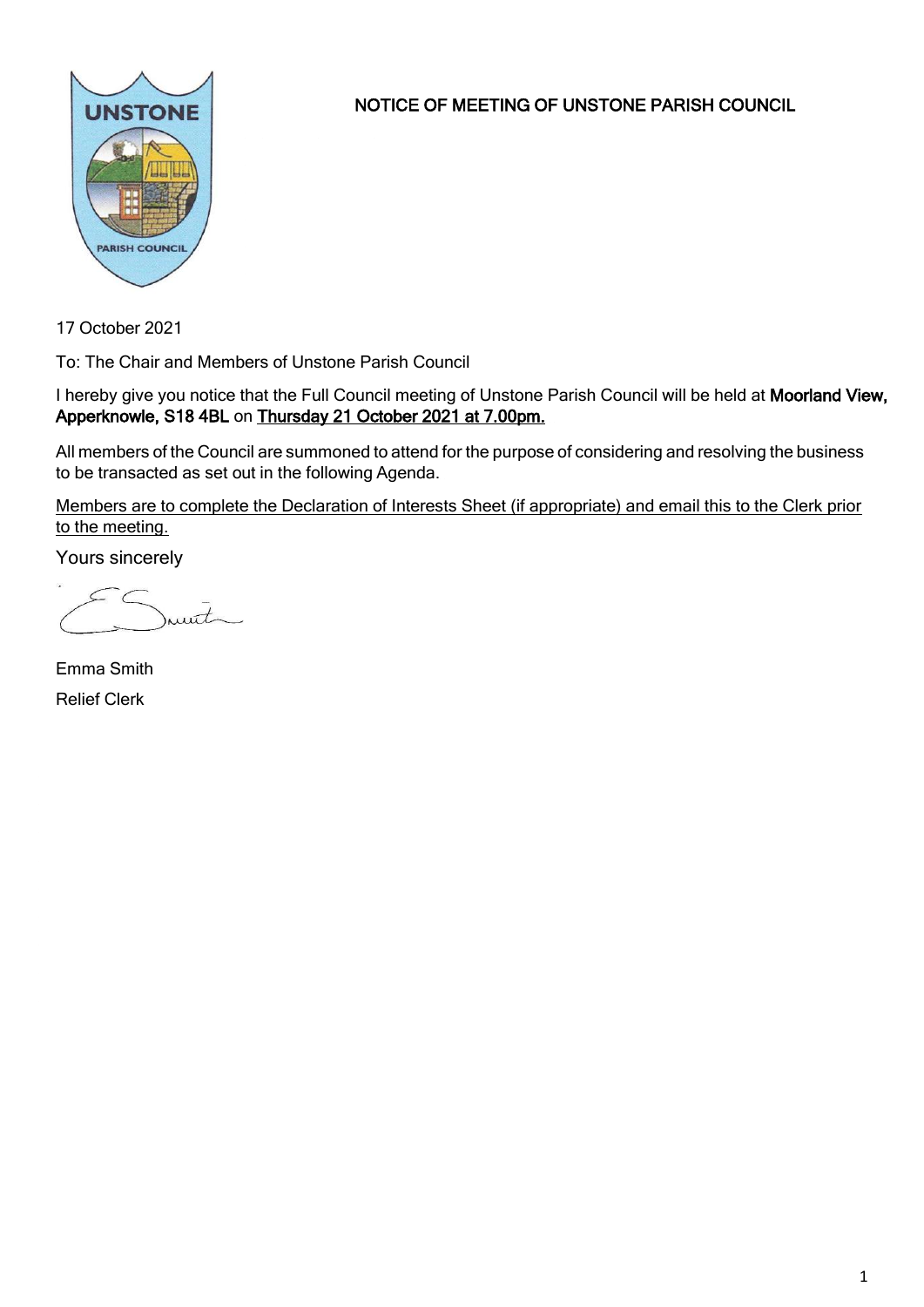

NOTICE OF MEETING OF UNSTONE PARISH COUNCIL

17 October 2021

To: The Chair and Members of Unstone Parish Council

I hereby give you notice that the Full Council meeting of Unstone Parish Council will be held at Moorland View, Apperknowle, S18 4BL on Thursday 21 October 2021 at 7.00pm.

All members of the Council are summoned to attend for the purpose of considering and resolving the business to be transacted as set out in the following Agenda.

Members are to complete the Declaration of Interests Sheet (if appropriate) and email this to the Clerk prior to the meeting.

Yours sincerely

munt

Emma Smith Relief Clerk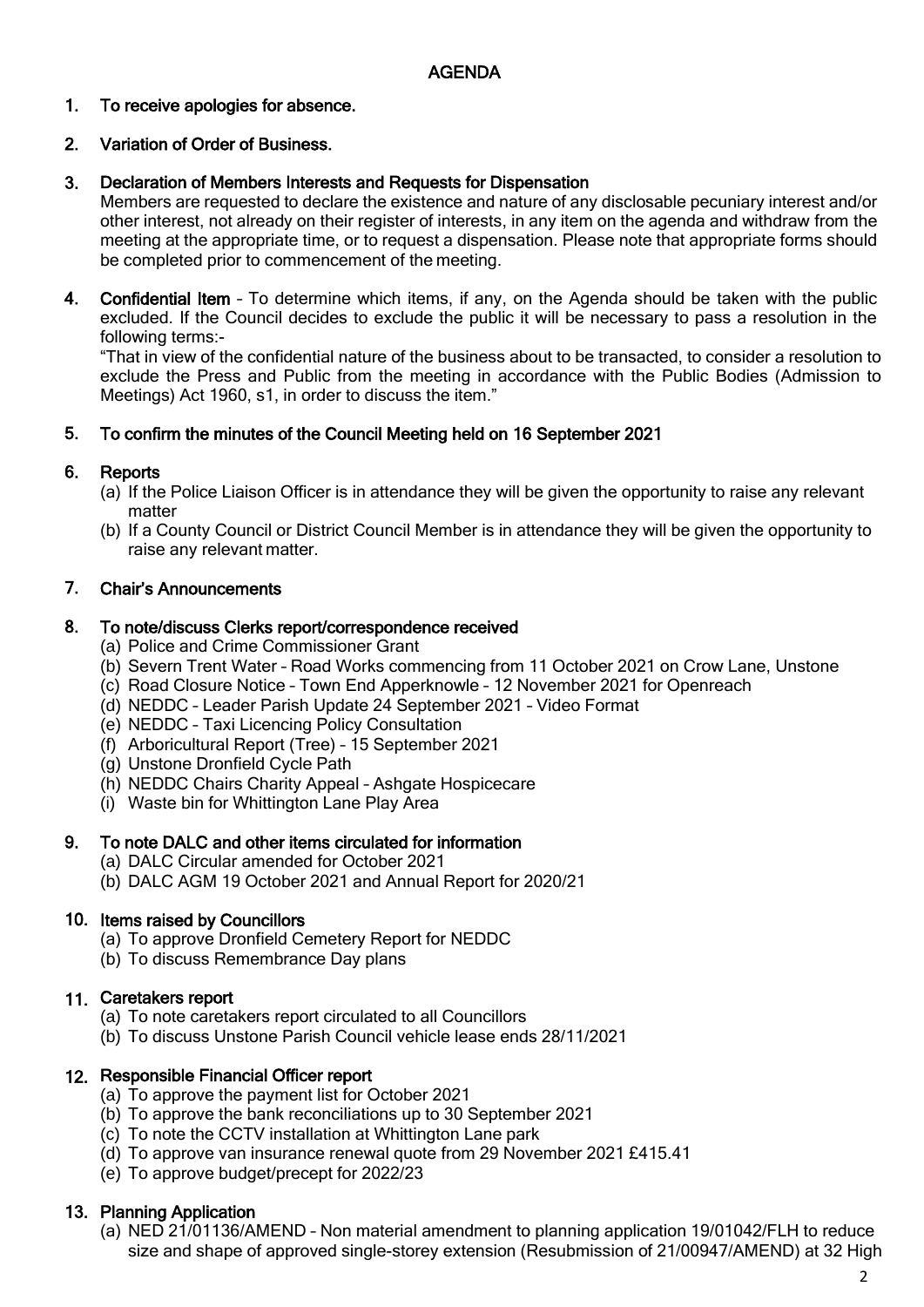### 1. To receive apologies for absence.

### 2. Variation of Order of Business.

### 3. Declaration of Members Interests and Requests for Dispensation

Members are requested to declare the existence and nature of any disclosable pecuniary interest and/or other interest, not already on their register of interests, in any item on the agenda and withdraw from the meeting at the appropriate time, or to request a dispensation. Please note that appropriate forms should be completed prior to commencement of the meeting.

4. Confidential Item - To determine which items, if any, on the Agenda should be taken with the public excluded. If the Council decides to exclude the public it will be necessary to pass a resolution in the following terms:-

"That in view of the confidential nature of the business about to be transacted, to consider a resolution to exclude the Press and Public from the meeting in accordance with the Public Bodies (Admission to Meetings) Act 1960, s1, in order to discuss the item."

#### 5. To confirm the minutes of the Council Meeting held on 16 September 2021

#### 6. **Reports**

- (a) If the Police Liaison Officer is in attendance they will be given the opportunity to raise any relevant matter
- (b) If a County Council or District Council Member is in attendance they will be given the opportunity to raise any relevant matter.

#### 7. Chair's Announcements

#### 8. To note/discuss Clerks report/correspondence received

- (a) Police and Crime Commissioner Grant
- (b) Severn Trent Water Road Works commencing from 11 October 2021 on Crow Lane, Unstone
- (c) Road Closure Notice Town End Apperknowle 12 November 2021 for Openreach
- (d) NEDDC Leader Parish Update 24 September 2021 Video Format
- (e) NEDDC Taxi Licencing Policy Consultation
- (f) Arboricultural Report (Tree) 15 September 2021
- (g) Unstone Dronfield Cycle Path
- (h) NEDDC Chairs Charity Appeal Ashgate Hospicecare
- (i) Waste bin for Whittington Lane Play Area

#### 9. To note DALC and other items circulated for information

- (a) DALC Circular amended for October 2021
- (b) DALC AGM 19 October 2021 and Annual Report for 2020/21

# 10. Items raised by Councillors

- (a) To approve Dronfield Cemetery Report for NEDDC
- (b) To discuss Remembrance Day plans

# 11. Caretakers report

- (a) To note caretakers report circulated to all Councillors
- (b) To discuss Unstone Parish Council vehicle lease ends 28/11/2021

# 12. Responsible Financial Officer report

- (a) To approve the payment list for October 2021
- (b) To approve the bank reconciliations up to 30 September 2021
- (c) To note the CCTV installation at Whittington Lane park
- (d) To approve van insurance renewal quote from 29 November 2021 £415.41
- (e) To approve budget/precept for 2022/23

# 13. Planning Application

(a) NED 21/01136/AMEND – Non material amendment to planning application 19/01042/FLH to reduce size and shape of approved single-storey extension (Resubmission of 21/00947/AMEND) at 32 High